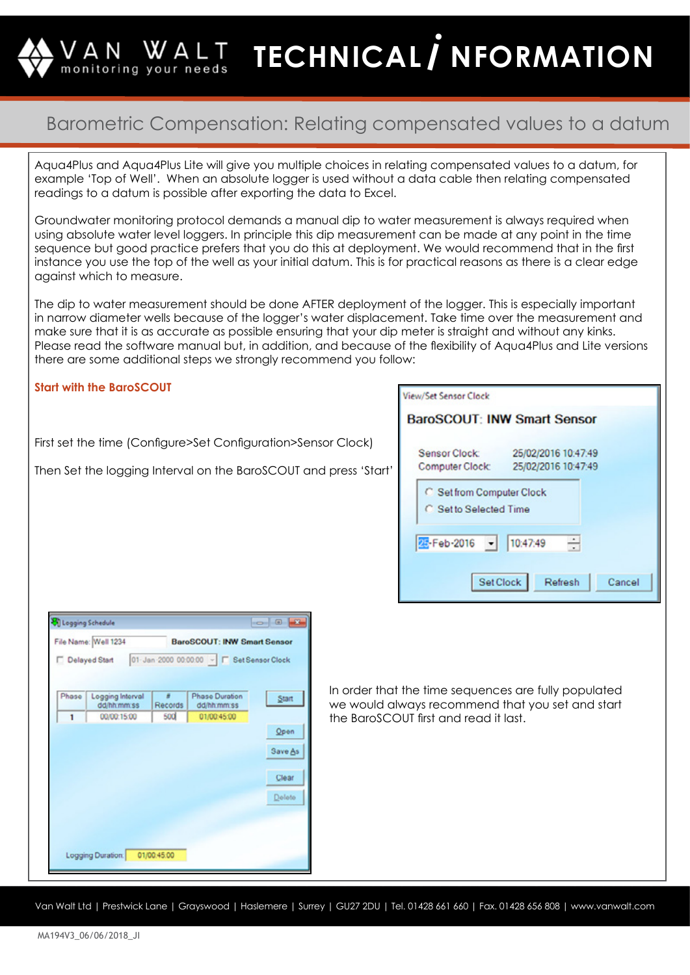**TECHNICAL / NFORMATION** monitoring your needs

## Barometric Compensation: Relating compensated values to a datum

Aqua4Plus and Aqua4Plus Lite will give you multiple choices in relating compensated values to a datum, for example 'Top of Well'. When an absolute logger is used without a data cable then relating compensated readings to a datum is possible after exporting the data to Excel.

Groundwater monitoring protocol demands a manual dip to water measurement is always required when using absolute water level loggers. In principle this dip measurement can be made at any point in the time sequence but good practice prefers that you do this at deployment. We would recommend that in the first instance you use the top of the well as your initial datum. This is for practical reasons as there is a clear edge against which to measure.

The dip to water measurement should be done AFTER deployment of the logger. This is especially important in narrow diameter wells because of the logger's water displacement. Take time over the measurement and make sure that it is as accurate as possible ensuring that your dip meter is straight and without any kinks. Please read the software manual but, in addition, and because of the flexibility of Aqua4Plus and Lite versions there are some additional steps we strongly recommend you follow:

#### **Start with the BaroSCOUT**

First set the time (Configure>Set Configuration>Sensor Clock)

Then Set the logging Interval on the BaroSCOUT and press 'Start'

| <b>View/Set Sensor Clock</b>                                                          |  |  |  |  |  |  |  |  |  |
|---------------------------------------------------------------------------------------|--|--|--|--|--|--|--|--|--|
| <b>BaroSCOUT: INW Smart Sensor</b>                                                    |  |  |  |  |  |  |  |  |  |
| <b>Sensor Clock:</b><br>25/02/2016 10:47:49<br>25/02/2016 10:47:49<br>Computer Clock: |  |  |  |  |  |  |  |  |  |
| <b>C</b> Set from Computer Clock<br>C. Set to Selected Time                           |  |  |  |  |  |  |  |  |  |
| ÷<br>25-Feb-2016<br>$-$ 10:47:49                                                      |  |  |  |  |  |  |  |  |  |
| Set Clock<br>Refresh<br>Cancel                                                        |  |  |  |  |  |  |  |  |  |

In order that the time sequences are fully populated we would always recommend that you set and start the BaroSCOUT first and read it last.

Van Walt Ltd | Prestwick Lane | Grayswood | Haslemere | Surrey | GU27 2DU | Tel. 01428 661 660 | Fax. 01428 656 808 | www.vanwalt.com

| File Name: Well 1234 |                                 |              | <b>BaroSCOUT: INW Smart Sensor</b>                      |         |  |  |  |
|----------------------|---------------------------------|--------------|---------------------------------------------------------|---------|--|--|--|
|                      |                                 |              | Delayed Start 01-Jan 2000 00:00:00 ~ F Set Sensor Clock |         |  |  |  |
|                      |                                 |              |                                                         |         |  |  |  |
|                      |                                 |              |                                                         |         |  |  |  |
| Phase                | Logging Interval<br>dd/hh:mm:ss | ×<br>Records | Phase Duration<br>dd/hh.mm:ss                           | Start   |  |  |  |
| 1                    | 00/00:15:00                     | <b>500</b>   | 01/00:45:00                                             |         |  |  |  |
|                      |                                 |              |                                                         | Open    |  |  |  |
|                      |                                 |              |                                                         |         |  |  |  |
|                      |                                 |              |                                                         | Save As |  |  |  |
|                      |                                 |              |                                                         |         |  |  |  |
|                      |                                 |              |                                                         |         |  |  |  |
|                      |                                 |              |                                                         | Clear   |  |  |  |
|                      |                                 |              |                                                         |         |  |  |  |
|                      |                                 |              |                                                         | Delete  |  |  |  |
|                      |                                 |              |                                                         |         |  |  |  |
|                      |                                 |              |                                                         |         |  |  |  |
|                      |                                 |              |                                                         |         |  |  |  |